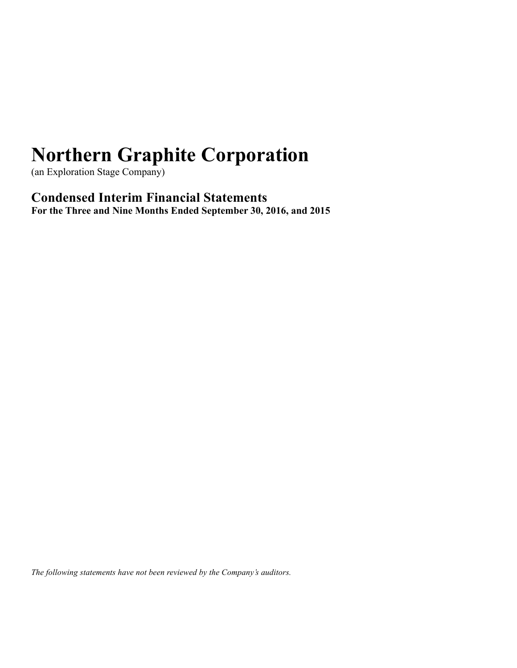(an Exploration Stage Company)

**Condensed Interim Financial Statements For the Three and Nine Months Ended September 30, 2016, and 2015**

*The following statements have not been reviewed by the Company's auditors.*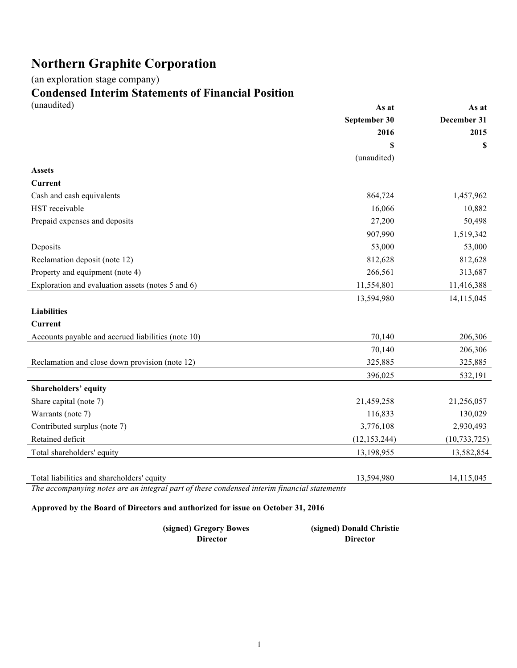(an exploration stage company)

# **Condensed Interim Statements of Financial Position**

| (unaudited)                                        | As at          | As at          |
|----------------------------------------------------|----------------|----------------|
|                                                    | September 30   | December 31    |
|                                                    | 2016           | 2015           |
|                                                    | S              | \$             |
|                                                    | (unaudited)    |                |
| <b>Assets</b>                                      |                |                |
| <b>Current</b>                                     |                |                |
| Cash and cash equivalents                          | 864,724        | 1,457,962      |
| HST receivable                                     | 16,066         | 10,882         |
| Prepaid expenses and deposits                      | 27,200         | 50,498         |
|                                                    | 907,990        | 1,519,342      |
| Deposits                                           | 53,000         | 53,000         |
| Reclamation deposit (note 12)                      | 812,628        | 812,628        |
| Property and equipment (note 4)                    | 266,561        | 313,687        |
| Exploration and evaluation assets (notes 5 and 6)  | 11,554,801     | 11,416,388     |
|                                                    | 13,594,980     | 14,115,045     |
| <b>Liabilities</b>                                 |                |                |
| <b>Current</b>                                     |                |                |
| Accounts payable and accrued liabilities (note 10) | 70,140         | 206,306        |
|                                                    | 70,140         | 206,306        |
| Reclamation and close down provision (note 12)     | 325,885        | 325,885        |
|                                                    | 396,025        | 532,191        |
| <b>Shareholders' equity</b>                        |                |                |
| Share capital (note 7)                             | 21,459,258     | 21,256,057     |
| Warrants (note 7)                                  | 116,833        | 130,029        |
| Contributed surplus (note 7)                       | 3,776,108      | 2,930,493      |
| Retained deficit                                   | (12, 153, 244) | (10, 733, 725) |
| Total shareholders' equity                         | 13,198,955     | 13,582,854     |
|                                                    |                |                |
| Total liabilities and shareholders' equity         | 13,594,980     | 14,115,045     |

*The accompanying notes are an integral part of these condensed interim financial statements* 

### **Approved by the Board of Directors and authorized for issue on October 31, 2016**

| (signed) Gregory Bowes | (signed) Donald Christie |
|------------------------|--------------------------|
| <b>Director</b>        | <b>Director</b>          |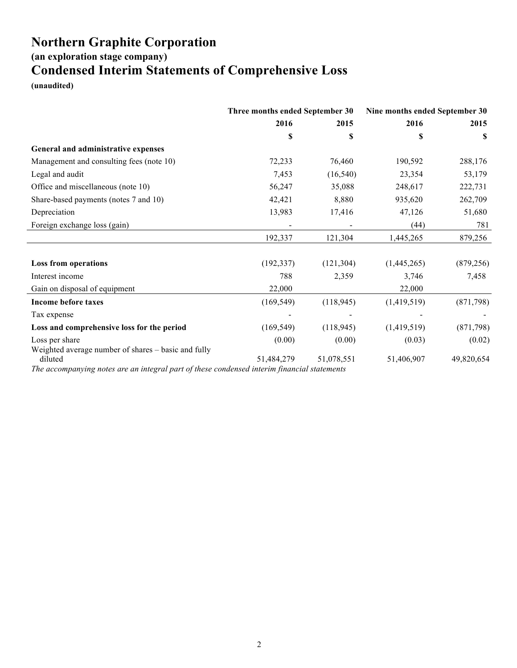**(an exploration stage company)**

## **Condensed Interim Statements of Comprehensive Loss**

**(unaudited)**

|                                                                                                        | Three months ended September 30 |            | Nine months ended September 30 |            |
|--------------------------------------------------------------------------------------------------------|---------------------------------|------------|--------------------------------|------------|
|                                                                                                        | 2016                            | 2015       | 2016                           | 2015       |
|                                                                                                        | \$                              | \$         | S                              | S          |
| General and administrative expenses                                                                    |                                 |            |                                |            |
| Management and consulting fees (note 10)                                                               | 72,233                          | 76,460     | 190,592                        | 288,176    |
| Legal and audit                                                                                        | 7,453                           | (16, 540)  | 23,354                         | 53,179     |
| Office and miscellaneous (note 10)                                                                     | 56,247                          | 35,088     | 248,617                        | 222,731    |
| Share-based payments (notes 7 and 10)                                                                  | 42,421                          | 8,880      | 935,620                        | 262,709    |
| Depreciation                                                                                           | 13,983                          | 17,416     | 47,126                         | 51,680     |
| Foreign exchange loss (gain)                                                                           |                                 |            | (44)                           | 781        |
|                                                                                                        | 192,337                         | 121,304    | 1,445,265                      | 879,256    |
| <b>Loss from operations</b>                                                                            | (192, 337)                      | (121, 304) | (1,445,265)                    | (879, 256) |
| Interest income                                                                                        | 788                             | 2,359      | 3,746                          | 7,458      |
| Gain on disposal of equipment                                                                          | 22,000                          |            | 22,000                         |            |
| <b>Income before taxes</b>                                                                             | (169, 549)                      | (118, 945) | (1,419,519)                    | (871, 798) |
| Tax expense                                                                                            |                                 |            |                                |            |
| Loss and comprehensive loss for the period                                                             | (169, 549)                      | (118, 945) | (1,419,519)                    | (871,798)  |
| Loss per share<br>Weighted average number of shares - basic and fully                                  | (0.00)                          | (0.00)     | (0.03)                         | (0.02)     |
| diluted<br>The accompanying notes are an integral part of these condensed interim financial statements | 51,484,279                      | 51,078,551 | 51,406,907                     | 49,820,654 |

*The accompanying notes are an integral part of these condensed interim financial statements*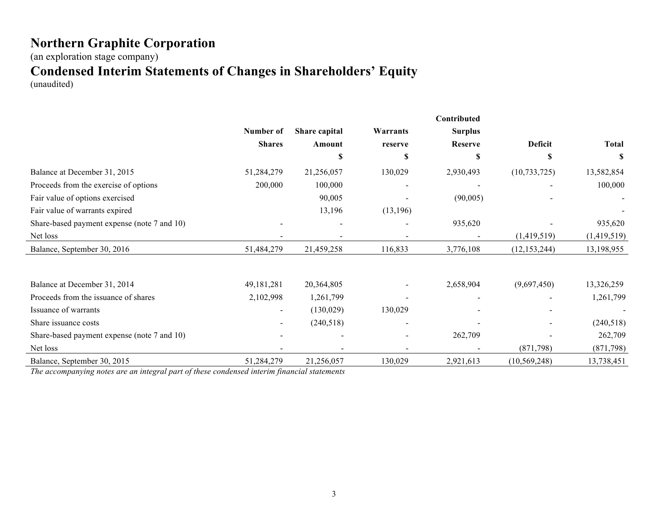(an exploration stage company)

## **Condensed Interim Statements of Changes in Shareholders' Equity**

(unaudited)

|                                             |               |               |           | Contributed    |                |              |
|---------------------------------------------|---------------|---------------|-----------|----------------|----------------|--------------|
|                                             | Number of     | Share capital | Warrants  | <b>Surplus</b> |                |              |
|                                             | <b>Shares</b> | Amount        | reserve   | <b>Reserve</b> | Deficit        | <b>Total</b> |
|                                             |               | S             | S         | \$             | S              | S            |
| Balance at December 31, 2015                | 51,284,279    | 21,256,057    | 130,029   | 2,930,493      | (10, 733, 725) | 13,582,854   |
| Proceeds from the exercise of options       | 200,000       | 100,000       |           |                |                | 100,000      |
| Fair value of options exercised             |               | 90,005        |           | (90,005)       |                |              |
| Fair value of warrants expired              |               | 13,196        | (13, 196) |                |                |              |
| Share-based payment expense (note 7 and 10) |               |               |           | 935,620        |                | 935,620      |
| Net loss                                    |               |               |           |                | (1,419,519)    | (1,419,519)  |
| Balance, September 30, 2016                 | 51,484,279    | 21,459,258    | 116,833   | 3,776,108      | (12, 153, 244) | 13,198,955   |
| Balance at December 31, 2014                | 49, 181, 281  | 20,364,805    |           | 2,658,904      | (9,697,450)    | 13,326,259   |
| Proceeds from the issuance of shares        | 2,102,998     | 1,261,799     |           |                |                | 1,261,799    |
| Issuance of warrants                        |               | (130,029)     | 130,029   |                |                |              |
| Share issuance costs                        |               | (240,518)     |           |                |                | (240,518)    |
| Share-based payment expense (note 7 and 10) |               |               |           | 262,709        |                | 262,709      |
| Net loss                                    |               |               |           |                | (871, 798)     | (871, 798)   |
| Balance, September 30, 2015                 | 51,284,279    | 21,256,057    | 130,029   | 2,921,613      | (10, 569, 248) | 13,738,451   |

*The accompanying notes are an integral part of these condensed interim financial statements*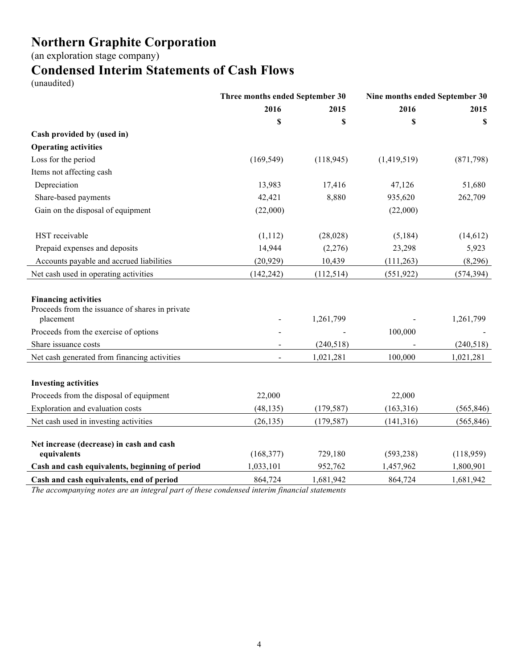(an exploration stage company)

## **Condensed Interim Statements of Cash Flows**

(unaudited)

|                                                                                             |                | Three months ended September 30 |             | Nine months ended September 30 |
|---------------------------------------------------------------------------------------------|----------------|---------------------------------|-------------|--------------------------------|
|                                                                                             | 2016           | 2015                            | 2016        | 2015                           |
|                                                                                             | \$             | \$                              | \$          | S                              |
| Cash provided by (used in)                                                                  |                |                                 |             |                                |
| <b>Operating activities</b>                                                                 |                |                                 |             |                                |
| Loss for the period                                                                         | (169, 549)     | (118, 945)                      | (1,419,519) | (871,798)                      |
| Items not affecting cash                                                                    |                |                                 |             |                                |
| Depreciation                                                                                | 13,983         | 17,416                          | 47,126      | 51,680                         |
| Share-based payments                                                                        | 42,421         | 8,880                           | 935,620     | 262,709                        |
| Gain on the disposal of equipment                                                           | (22,000)       |                                 | (22,000)    |                                |
| HST receivable                                                                              | (1,112)        | (28, 028)                       | (5,184)     | (14, 612)                      |
| Prepaid expenses and deposits                                                               | 14,944         | (2,276)                         | 23,298      | 5,923                          |
| Accounts payable and accrued liabilities                                                    | (20, 929)      | 10,439                          | (111, 263)  | (8,296)                        |
| Net cash used in operating activities                                                       | (142, 242)     | (112, 514)                      | (551, 922)  | (574, 394)                     |
| <b>Financing activities</b><br>Proceeds from the issuance of shares in private<br>placement |                | 1,261,799                       |             | 1,261,799                      |
| Proceeds from the exercise of options                                                       |                |                                 | 100,000     |                                |
| Share issuance costs                                                                        |                | (240, 518)                      |             | (240,518)                      |
| Net cash generated from financing activities                                                | $\blacksquare$ | 1,021,281                       | 100,000     | 1,021,281                      |
| <b>Investing activities</b>                                                                 |                |                                 |             |                                |
| Proceeds from the disposal of equipment                                                     | 22,000         |                                 | 22,000      |                                |
| Exploration and evaluation costs                                                            | (48, 135)      | (179, 587)                      | (163, 316)  | (565, 846)                     |
| Net cash used in investing activities                                                       | (26, 135)      | (179, 587)                      | (141, 316)  | (565, 846)                     |
| Net increase (decrease) in cash and cash<br>equivalents                                     | (168, 377)     | 729,180                         | (593, 238)  | (118,959)                      |
| Cash and cash equivalents, beginning of period                                              | 1,033,101      | 952,762                         | 1,457,962   | 1,800,901                      |
| Cash and cash equivalents, end of period                                                    | 864,724        | 1,681,942                       | 864,724     | 1,681,942                      |

*The accompanying notes are an integral part of these condensed interim financial statements*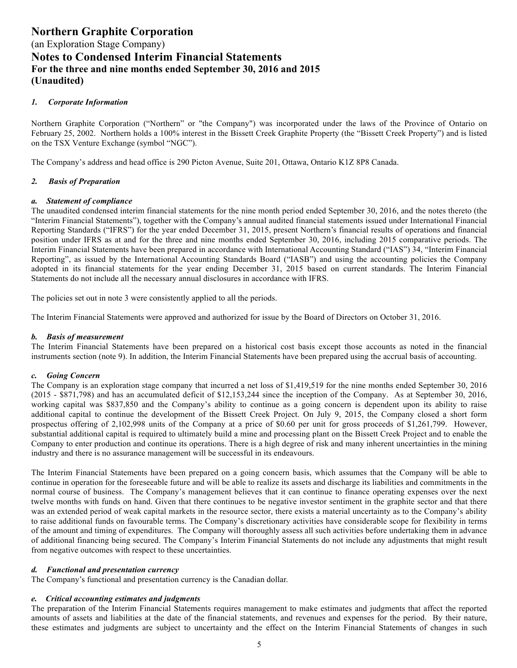#### *1. Corporate Information*

Northern Graphite Corporation ("Northern" or "the Company") was incorporated under the laws of the Province of Ontario on February 25, 2002. Northern holds a 100% interest in the Bissett Creek Graphite Property (the "Bissett Creek Property") and is listed on the TSX Venture Exchange (symbol "NGC").

The Company's address and head office is 290 Picton Avenue, Suite 201, Ottawa, Ontario K1Z 8P8 Canada.

#### *2. Basis of Preparation*

#### *a. Statement of compliance*

The unaudited condensed interim financial statements for the nine month period ended September 30, 2016, and the notes thereto (the "Interim Financial Statements"), together with the Company's annual audited financial statements issued under International Financial Reporting Standards ("IFRS") for the year ended December 31, 2015, present Northern's financial results of operations and financial position under IFRS as at and for the three and nine months ended September 30, 2016, including 2015 comparative periods. The Interim Financial Statements have been prepared in accordance with International Accounting Standard ("IAS") 34, "Interim Financial Reporting", as issued by the International Accounting Standards Board ("IASB") and using the accounting policies the Company adopted in its financial statements for the year ending December 31, 2015 based on current standards. The Interim Financial Statements do not include all the necessary annual disclosures in accordance with IFRS.

The policies set out in note 3 were consistently applied to all the periods.

The Interim Financial Statements were approved and authorized for issue by the Board of Directors on October 31, 2016.

#### *b. Basis of measurement*

The Interim Financial Statements have been prepared on a historical cost basis except those accounts as noted in the financial instruments section (note 9). In addition, the Interim Financial Statements have been prepared using the accrual basis of accounting.

#### *c. Going Concern*

The Company is an exploration stage company that incurred a net loss of \$1,419,519 for the nine months ended September 30, 2016 (2015 - \$871,798) and has an accumulated deficit of \$12,153,244 since the inception of the Company. As at September 30, 2016, working capital was \$837,850 and the Company's ability to continue as a going concern is dependent upon its ability to raise additional capital to continue the development of the Bissett Creek Project. On July 9, 2015, the Company closed a short form prospectus offering of 2,102,998 units of the Company at a price of \$0.60 per unit for gross proceeds of \$1,261,799. However, substantial additional capital is required to ultimately build a mine and processing plant on the Bissett Creek Project and to enable the Company to enter production and continue its operations. There is a high degree of risk and many inherent uncertainties in the mining industry and there is no assurance management will be successful in its endeavours.

The Interim Financial Statements have been prepared on a going concern basis, which assumes that the Company will be able to continue in operation for the foreseeable future and will be able to realize its assets and discharge its liabilities and commitments in the normal course of business. The Company's management believes that it can continue to finance operating expenses over the next twelve months with funds on hand. Given that there continues to be negative investor sentiment in the graphite sector and that there was an extended period of weak capital markets in the resource sector, there exists a material uncertainty as to the Company's ability to raise additional funds on favourable terms. The Company's discretionary activities have considerable scope for flexibility in terms of the amount and timing of expenditures. The Company will thoroughly assess all such activities before undertaking them in advance of additional financing being secured. The Company's Interim Financial Statements do not include any adjustments that might result from negative outcomes with respect to these uncertainties.

#### *d. Functional and presentation currency*

The Company's functional and presentation currency is the Canadian dollar.

#### *e. Critical accounting estimates and judgments*

The preparation of the Interim Financial Statements requires management to make estimates and judgments that affect the reported amounts of assets and liabilities at the date of the financial statements, and revenues and expenses for the period. By their nature, these estimates and judgments are subject to uncertainty and the effect on the Interim Financial Statements of changes in such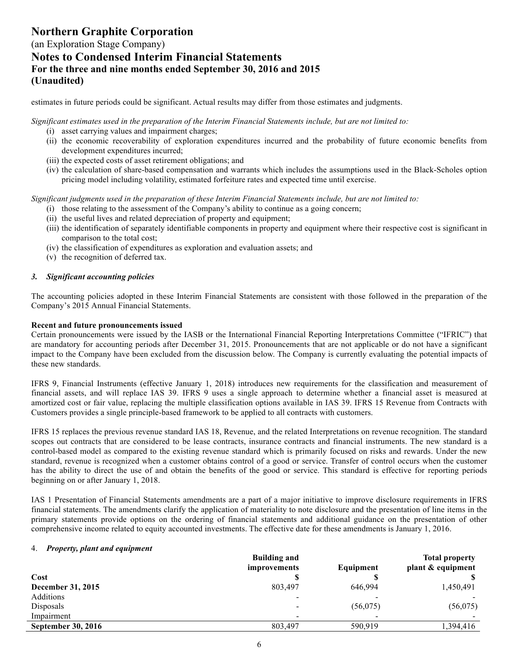### (an Exploration Stage Company) **Notes to Condensed Interim Financial Statements For the three and nine months ended September 30, 2016 and 2015 (Unaudited)**

estimates in future periods could be significant. Actual results may differ from those estimates and judgments.

*Significant estimates used in the preparation of the Interim Financial Statements include, but are not limited to:* 

- (i) asset carrying values and impairment charges;
- (ii) the economic recoverability of exploration expenditures incurred and the probability of future economic benefits from development expenditures incurred;
- (iii) the expected costs of asset retirement obligations; and
- (iv) the calculation of share-based compensation and warrants which includes the assumptions used in the Black-Scholes option pricing model including volatility, estimated forfeiture rates and expected time until exercise.

*Significant judgments used in the preparation of these Interim Financial Statements include, but are not limited to:* 

- (i) those relating to the assessment of the Company's ability to continue as a going concern;
- (ii) the useful lives and related depreciation of property and equipment;
- (iii) the identification of separately identifiable components in property and equipment where their respective cost is significant in comparison to the total cost;
- (iv) the classification of expenditures as exploration and evaluation assets; and
- (v) the recognition of deferred tax.

#### *3. Significant accounting policies*

The accounting policies adopted in these Interim Financial Statements are consistent with those followed in the preparation of the Company's 2015 Annual Financial Statements.

#### **Recent and future pronouncements issued**

Certain pronouncements were issued by the IASB or the International Financial Reporting Interpretations Committee ("IFRIC") that are mandatory for accounting periods after December 31, 2015. Pronouncements that are not applicable or do not have a significant impact to the Company have been excluded from the discussion below. The Company is currently evaluating the potential impacts of these new standards.

IFRS 9, Financial Instruments (effective January 1, 2018) introduces new requirements for the classification and measurement of financial assets, and will replace IAS 39. IFRS 9 uses a single approach to determine whether a financial asset is measured at amortized cost or fair value, replacing the multiple classification options available in IAS 39. IFRS 15 Revenue from Contracts with Customers provides a single principle-based framework to be applied to all contracts with customers.

IFRS 15 replaces the previous revenue standard IAS 18, Revenue, and the related Interpretations on revenue recognition. The standard scopes out contracts that are considered to be lease contracts, insurance contracts and financial instruments. The new standard is a control-based model as compared to the existing revenue standard which is primarily focused on risks and rewards. Under the new standard, revenue is recognized when a customer obtains control of a good or service. Transfer of control occurs when the customer has the ability to direct the use of and obtain the benefits of the good or service. This standard is effective for reporting periods beginning on or after January 1, 2018.

IAS 1 Presentation of Financial Statements amendments are a part of a major initiative to improve disclosure requirements in IFRS financial statements. The amendments clarify the application of materiality to note disclosure and the presentation of line items in the primary statements provide options on the ordering of financial statements and additional guidance on the presentation of other comprehensive income related to equity accounted investments. The effective date for these amendments is January 1, 2016.

#### 4. *Property, plant and equipment*

|                           | <b>Building and</b>      |           | <b>Total property</b> |
|---------------------------|--------------------------|-----------|-----------------------|
|                           | <i>improvements</i>      | Equipment | plant & equipment     |
| Cost                      |                          |           |                       |
| December 31, 2015         | 803,497                  | 646,994   | 1,450,491             |
| Additions                 | $\overline{\phantom{0}}$ |           |                       |
| Disposals                 | $\overline{\phantom{a}}$ | (56,075)  | (56, 075)             |
| Impairment                | $\overline{\phantom{a}}$ |           |                       |
| <b>September 30, 2016</b> | 803,497                  | 590.919   | 1,394,416             |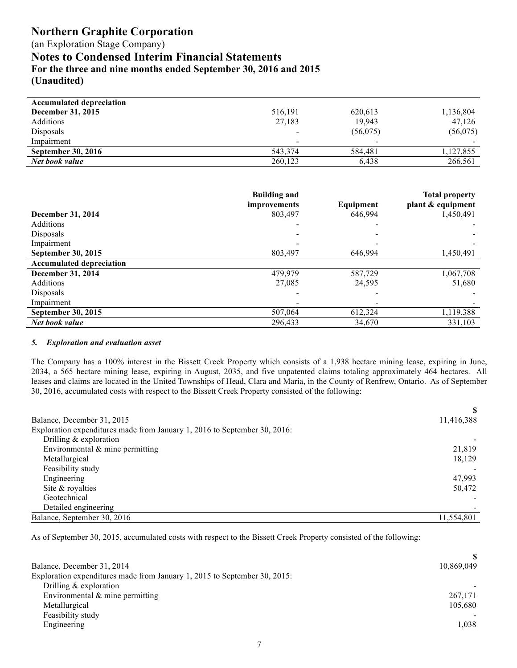(an Exploration Stage Company)

**Notes to Condensed Interim Financial Statements**

**For the three and nine months ended September 30, 2016 and 2015**

**(Unaudited)**

| <b>Accumulated depreciation</b> |                          |                          |           |
|---------------------------------|--------------------------|--------------------------|-----------|
| December 31, 2015               | 516,191                  | 620,613                  | 1,136,804 |
| <b>Additions</b>                | 27,183                   | 19,943                   | 47.126    |
| Disposals                       | $\overline{\phantom{a}}$ | (56,075)                 | (56, 075) |
| Impairment                      | $\overline{\phantom{a}}$ | $\overline{\phantom{a}}$ |           |
| <b>September 30, 2016</b>       | 543,374                  | 584,481                  | 1,127,855 |
| Net book value                  | 260,123                  | 6,438                    | 266,561   |

|                                 | <b>Building and</b><br>improvements | Equipment | <b>Total property</b><br>plant & equipment |
|---------------------------------|-------------------------------------|-----------|--------------------------------------------|
| December 31, 2014               | 803,497                             | 646,994   | 1,450,491                                  |
| <b>Additions</b>                |                                     |           |                                            |
| Disposals                       |                                     |           |                                            |
| Impairment                      |                                     |           |                                            |
| September 30, 2015              | 803.497                             | 646.994   | 1,450,491                                  |
| <b>Accumulated depreciation</b> |                                     |           |                                            |
| December 31, 2014               | 479,979                             | 587,729   | 1,067,708                                  |
| <b>Additions</b>                | 27,085                              | 24,595    | 51,680                                     |
| Disposals                       |                                     |           |                                            |
| Impairment                      |                                     |           |                                            |
| September 30, 2015              | 507,064                             | 612,324   | 1,119,388                                  |
| Net book value                  | 296,433                             | 34,670    | 331,103                                    |

#### *5. Exploration and evaluation asset*

The Company has a 100% interest in the Bissett Creek Property which consists of a 1,938 hectare mining lease, expiring in June, 2034, a 565 hectare mining lease, expiring in August, 2035, and five unpatented claims totaling approximately 464 hectares. All leases and claims are located in the United Townships of Head, Clara and Maria, in the County of Renfrew, Ontario. As of September 30, 2016, accumulated costs with respect to the Bissett Creek Property consisted of the following:

| Balance, December 31, 2015                                                | 11,416,388 |
|---------------------------------------------------------------------------|------------|
| Exploration expenditures made from January 1, 2016 to September 30, 2016: |            |
| Drilling $&$ exploration                                                  |            |
| Environmental & mine permitting                                           | 21,819     |
| Metallurgical                                                             | 18,129     |
| Feasibility study                                                         |            |
| Engineering                                                               | 47,993     |
| Site & royalties                                                          | 50,472     |
| Geotechnical                                                              |            |
| Detailed engineering                                                      |            |
| Balance, September 30, 2016                                               | 11,554,801 |

As of September 30, 2015, accumulated costs with respect to the Bissett Creek Property consisted of the following:

| Balance, December 31, 2014                                                | 10,869,049 |
|---------------------------------------------------------------------------|------------|
| Exploration expenditures made from January 1, 2015 to September 30, 2015: |            |
| Drilling $&$ exploration                                                  |            |
| Environmental $\&$ mine permitting                                        | 267,171    |
| Metallurgical                                                             | 105,680    |
| Feasibility study                                                         |            |
| Engineering                                                               | 1.038      |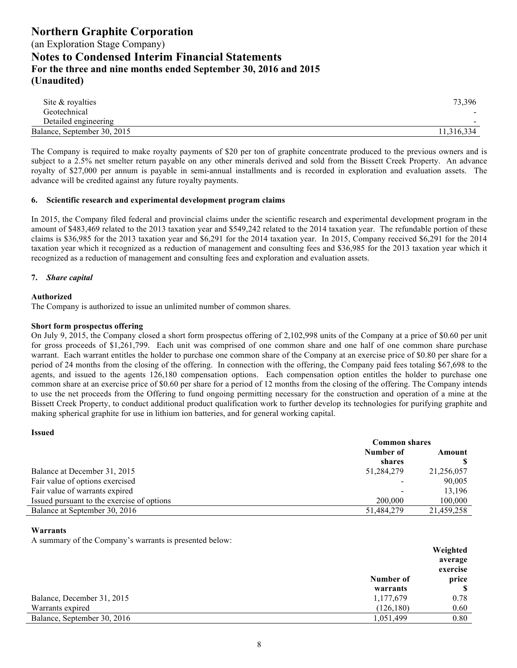| Site & royalties            | 73,396     |
|-----------------------------|------------|
| Geotechnical                | $\sim$     |
| Detailed engineering        | $\sim$     |
| Balance, September 30, 2015 | 11.316.334 |

The Company is required to make royalty payments of \$20 per ton of graphite concentrate produced to the previous owners and is subject to a 2.5% net smelter return payable on any other minerals derived and sold from the Bissett Creek Property. An advance royalty of \$27,000 per annum is payable in semi-annual installments and is recorded in exploration and evaluation assets. The advance will be credited against any future royalty payments.

#### **6. Scientific research and experimental development program claims**

In 2015, the Company filed federal and provincial claims under the scientific research and experimental development program in the amount of \$483,469 related to the 2013 taxation year and \$549,242 related to the 2014 taxation year. The refundable portion of these claims is \$36,985 for the 2013 taxation year and \$6,291 for the 2014 taxation year. In 2015, Company received \$6,291 for the 2014 taxation year which it recognized as a reduction of management and consulting fees and \$36,985 for the 2013 taxation year which it recognized as a reduction of management and consulting fees and exploration and evaluation assets.

#### **7.** *Share capital*

#### **Authorized**

The Company is authorized to issue an unlimited number of common shares.

#### **Short form prospectus offering**

On July 9, 2015, the Company closed a short form prospectus offering of 2,102,998 units of the Company at a price of \$0.60 per unit for gross proceeds of \$1,261,799. Each unit was comprised of one common share and one half of one common share purchase warrant. Each warrant entitles the holder to purchase one common share of the Company at an exercise price of \$0.80 per share for a period of 24 months from the closing of the offering. In connection with the offering, the Company paid fees totaling \$67,698 to the agents, and issued to the agents 126,180 compensation options. Each compensation option entitles the holder to purchase one common share at an exercise price of \$0.60 per share for a period of 12 months from the closing of the offering. The Company intends to use the net proceeds from the Offering to fund ongoing permitting necessary for the construction and operation of a mine at the Bissett Creek Property, to conduct additional product qualification work to further develop its technologies for purifying graphite and making spherical graphite for use in lithium ion batteries, and for general working capital.

| <b>Issued</b>                              |                      |            |  |
|--------------------------------------------|----------------------|------------|--|
|                                            | <b>Common shares</b> |            |  |
|                                            | Number of            | Amount     |  |
|                                            | shares               |            |  |
| Balance at December 31, 2015               | 51,284,279           | 21,256,057 |  |
| Fair value of options exercised            |                      | 90,005     |  |
| Fair value of warrants expired             |                      | 13,196     |  |
| Issued pursuant to the exercise of options | 200,000              | 100,000    |  |
| Balance at September 30, 2016              | 51,484,279           | 21.459.258 |  |

#### **Warrants**

A summary of the Company's warrants is presented below:

|                             |            | Weighted |
|-----------------------------|------------|----------|
|                             |            | average  |
|                             |            | exercise |
|                             | Number of  | price    |
|                             | warrants   |          |
| Balance, December 31, 2015  | 1,177,679  | 0.78     |
| Warrants expired            | (126, 180) | 0.60     |
| Balance, September 30, 2016 | 1,051,499  | 0.80     |
|                             |            |          |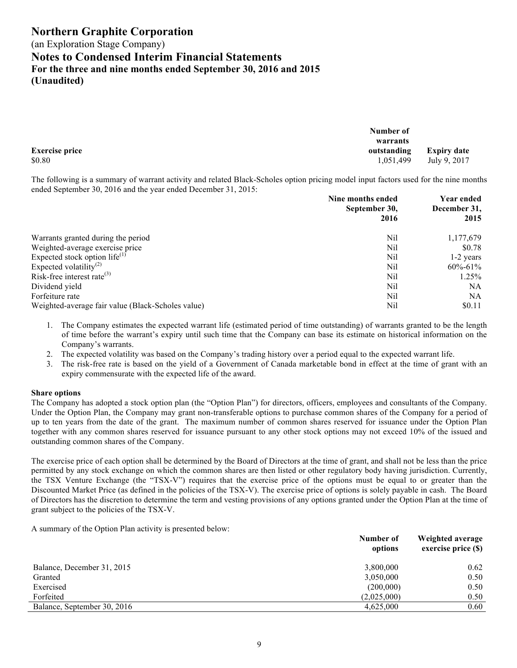(an Exploration Stage Company)

### **Notes to Condensed Interim Financial Statements**

**For the three and nine months ended September 30, 2016 and 2015**

**(Unaudited)**

|                       | Number of |                         |
|-----------------------|-----------|-------------------------|
|                       | warrants  |                         |
| <b>Exercise price</b> |           | outstanding Expiry date |
| \$0.80                | 1,051,499 | July 9, 2017            |

The following is a summary of warrant activity and related Black-Scholes option pricing model input factors used for the nine months ended September 30, 2016 and the year ended December 31, 2015:

|                                                   | Nine months ended     |               |
|---------------------------------------------------|-----------------------|---------------|
|                                                   | September 30,<br>2016 | December 31,  |
|                                                   |                       | 2015          |
| Warrants granted during the period                | Nil                   | 1,177,679     |
| Weighted-average exercise price                   | Nil                   | \$0.78        |
| Expected stock option life $^{(1)}$               | Nil                   | $1-2$ years   |
| Expected volatility <sup>(2)</sup>                | Nil                   | $60\% - 61\%$ |
| Risk-free interest rate $^{(3)}$                  | Nil                   | $1.25\%$      |
| Dividend yield                                    | Nil                   | NA            |
| Forfeiture rate                                   | Nil                   | NA            |
| Weighted-average fair value (Black-Scholes value) | Nil                   | \$0.11        |

1. The Company estimates the expected warrant life (estimated period of time outstanding) of warrants granted to be the length of time before the warrant's expiry until such time that the Company can base its estimate on historical information on the Company's warrants.

2. The expected volatility was based on the Company's trading history over a period equal to the expected warrant life.

3. The risk-free rate is based on the yield of a Government of Canada marketable bond in effect at the time of grant with an expiry commensurate with the expected life of the award.

#### **Share options**

The Company has adopted a stock option plan (the "Option Plan") for directors, officers, employees and consultants of the Company. Under the Option Plan, the Company may grant non-transferable options to purchase common shares of the Company for a period of up to ten years from the date of the grant. The maximum number of common shares reserved for issuance under the Option Plan together with any common shares reserved for issuance pursuant to any other stock options may not exceed 10% of the issued and outstanding common shares of the Company.

The exercise price of each option shall be determined by the Board of Directors at the time of grant, and shall not be less than the price permitted by any stock exchange on which the common shares are then listed or other regulatory body having jurisdiction. Currently, the TSX Venture Exchange (the "TSX-V") requires that the exercise price of the options must be equal to or greater than the Discounted Market Price (as defined in the policies of the TSX-V). The exercise price of options is solely payable in cash. The Board of Directors has the discretion to determine the term and vesting provisions of any options granted under the Option Plan at the time of grant subject to the policies of the TSX-V.

A summary of the Option Plan activity is presented below:

|                             | Number of<br>options | Weighted average<br>exercise price (\$) |
|-----------------------------|----------------------|-----------------------------------------|
| Balance, December 31, 2015  | 3,800,000            | 0.62                                    |
| Granted                     | 3,050,000            | 0.50                                    |
| Exercised                   | (200,000)            | 0.50                                    |
| Forfeited                   | (2,025,000)          | 0.50                                    |
| Balance, September 30, 2016 | 4,625,000            | 0.60                                    |
|                             |                      |                                         |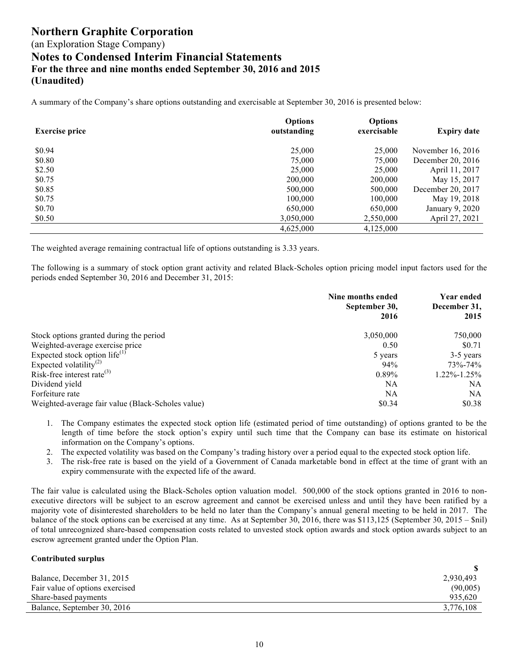A summary of the Company's share options outstanding and exercisable at September 30, 2016 is presented below:

| <b>Exercise price</b> | <b>Options</b><br>outstanding | <b>Options</b><br>exercisable | <b>Expiry date</b> |
|-----------------------|-------------------------------|-------------------------------|--------------------|
| \$0.94                | 25,000                        | 25,000                        | November 16, 2016  |
| \$0.80                | 75,000                        | 75,000                        | December 20, 2016  |
| \$2.50                | 25,000                        | 25,000                        | April 11, 2017     |
| \$0.75                | 200,000                       | 200,000                       | May 15, 2017       |
| \$0.85                | 500,000                       | 500,000                       | December 20, 2017  |
| \$0.75                | 100,000                       | 100,000                       | May 19, 2018       |
| \$0.70                | 650,000                       | 650,000                       | January 9, 2020    |
| \$0.50                | 3,050,000                     | 2,550,000                     | April 27, 2021     |
|                       | 4,625,000                     | 4,125,000                     |                    |

The weighted average remaining contractual life of options outstanding is 3.33 years.

The following is a summary of stock option grant activity and related Black-Scholes option pricing model input factors used for the periods ended September 30, 2016 and December 31, 2015:

|                                                   | Nine months ended<br>September 30, | Year ended<br>December 31, |
|---------------------------------------------------|------------------------------------|----------------------------|
|                                                   | 2016                               | 2015                       |
| Stock options granted during the period           | 3,050,000                          | 750,000                    |
| Weighted-average exercise price                   | 0.50                               | \$0.71                     |
| Expected stock option life $^{(1)}$               | 5 years                            | 3-5 years                  |
| Expected volatility <sup>(2)</sup>                | 94%                                | 73%-74%                    |
| Risk-free interest rate $^{(3)}$                  | $0.89\%$                           | $1.22\% - 1.25\%$          |
| Dividend yield                                    | NA                                 | NA                         |
| Forfeiture rate                                   | NA                                 | NA.                        |
| Weighted-average fair value (Black-Scholes value) | \$0.34                             | \$0.38                     |

- 1. The Company estimates the expected stock option life (estimated period of time outstanding) of options granted to be the length of time before the stock option's expiry until such time that the Company can base its estimate on historical information on the Company's options.
- 2. The expected volatility was based on the Company's trading history over a period equal to the expected stock option life.
- 3. The risk-free rate is based on the yield of a Government of Canada marketable bond in effect at the time of grant with an expiry commensurate with the expected life of the award.

The fair value is calculated using the Black-Scholes option valuation model. 500,000 of the stock options granted in 2016 to nonexecutive directors will be subject to an escrow agreement and cannot be exercised unless and until they have been ratified by a majority vote of disinterested shareholders to be held no later than the Company's annual general meeting to be held in 2017. The balance of the stock options can be exercised at any time. As at September 30, 2016, there was \$113,125 (September 30, 2015 – \$nil) of total unrecognized share-based compensation costs related to unvested stock option awards and stock option awards subject to an escrow agreement granted under the Option Plan.

#### **Contributed surplus**

| Balance, December 31, 2015      | 2,930,493 |
|---------------------------------|-----------|
| Fair value of options exercised | (90,005)  |
| Share-based payments            | 935,620   |
| Balance, September 30, 2016     | 3.776.108 |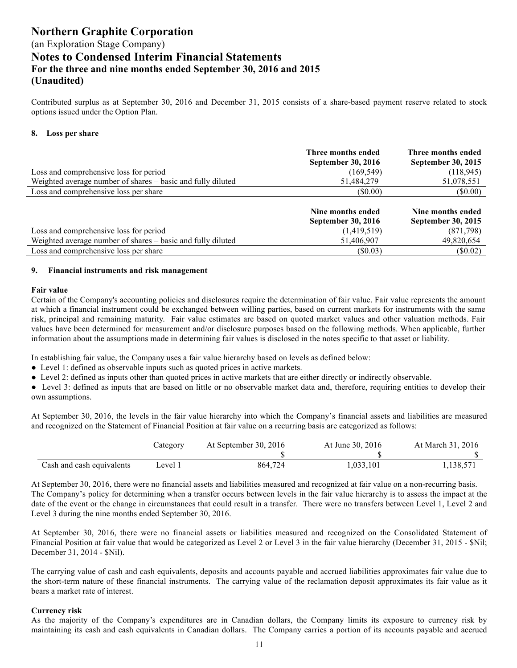Contributed surplus as at September 30, 2016 and December 31, 2015 consists of a share-based payment reserve related to stock options issued under the Option Plan.

#### **8. Loss per share**

|                                                             | Three months ended<br>September 30, 2016 | Three months ended<br>September 30, 2015       |
|-------------------------------------------------------------|------------------------------------------|------------------------------------------------|
| Loss and comprehensive loss for period                      | (169, 549)                               | (118, 945)                                     |
| Weighted average number of shares – basic and fully diluted | 51,484,279                               | 51,078,551                                     |
| Loss and comprehensive loss per share                       | (S0.00)                                  | $(\$0.00)$                                     |
|                                                             | Nine months ended<br>September 30, 2016  | Nine months ended<br><b>September 30, 2015</b> |
| Loss and comprehensive loss for period                      | (1,419,519)                              | (871,798)                                      |
| Weighted average number of shares – basic and fully diluted | 51,406,907                               | 49,820,654                                     |
| Loss and comprehensive loss per share                       | (S0.03)                                  | (S0.02)                                        |

#### **9. Financial instruments and risk management**

#### **Fair value**

Certain of the Company's accounting policies and disclosures require the determination of fair value. Fair value represents the amount at which a financial instrument could be exchanged between willing parties, based on current markets for instruments with the same risk, principal and remaining maturity. Fair value estimates are based on quoted market values and other valuation methods. Fair values have been determined for measurement and/or disclosure purposes based on the following methods. When applicable, further information about the assumptions made in determining fair values is disclosed in the notes specific to that asset or liability.

In establishing fair value, the Company uses a fair value hierarchy based on levels as defined below:

- Level 1: defined as observable inputs such as quoted prices in active markets.
- Level 2: defined as inputs other than quoted prices in active markets that are either directly or indirectly observable.

• Level 3: defined as inputs that are based on little or no observable market data and, therefore, requiring entities to develop their own assumptions.

At September 30, 2016, the levels in the fair value hierarchy into which the Company's financial assets and liabilities are measured and recognized on the Statement of Financial Position at fair value on a recurring basis are categorized as follows:

|                           | Category | At September 30, 2016 | At June 30, 2016 | At March 31, 2016 |
|---------------------------|----------|-----------------------|------------------|-------------------|
|                           |          |                       |                  |                   |
| Cash and cash equivalents | Level 1  | 864.724               | 1,033,101        | .138.571          |

At September 30, 2016, there were no financial assets and liabilities measured and recognized at fair value on a non-recurring basis. The Company's policy for determining when a transfer occurs between levels in the fair value hierarchy is to assess the impact at the date of the event or the change in circumstances that could result in a transfer. There were no transfers between Level 1, Level 2 and Level 3 during the nine months ended September 30, 2016.

At September 30, 2016, there were no financial assets or liabilities measured and recognized on the Consolidated Statement of Financial Position at fair value that would be categorized as Level 2 or Level 3 in the fair value hierarchy (December 31, 2015 - \$Nil; December 31, 2014 - \$Nil).

The carrying value of cash and cash equivalents, deposits and accounts payable and accrued liabilities approximates fair value due to the short-term nature of these financial instruments. The carrying value of the reclamation deposit approximates its fair value as it bears a market rate of interest.

#### **Currency risk**

As the majority of the Company's expenditures are in Canadian dollars, the Company limits its exposure to currency risk by maintaining its cash and cash equivalents in Canadian dollars. The Company carries a portion of its accounts payable and accrued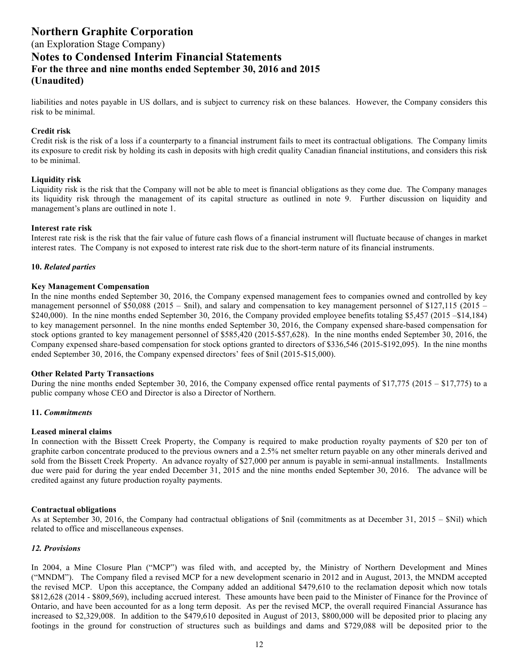## (an Exploration Stage Company)

### **Notes to Condensed Interim Financial Statements For the three and nine months ended September 30, 2016 and 2015 (Unaudited)**

liabilities and notes payable in US dollars, and is subject to currency risk on these balances. However, the Company considers this risk to be minimal.

#### **Credit risk**

Credit risk is the risk of a loss if a counterparty to a financial instrument fails to meet its contractual obligations. The Company limits its exposure to credit risk by holding its cash in deposits with high credit quality Canadian financial institutions, and considers this risk to be minimal.

#### **Liquidity risk**

Liquidity risk is the risk that the Company will not be able to meet is financial obligations as they come due. The Company manages its liquidity risk through the management of its capital structure as outlined in note 9. Further discussion on liquidity and management's plans are outlined in note 1.

#### **Interest rate risk**

Interest rate risk is the risk that the fair value of future cash flows of a financial instrument will fluctuate because of changes in market interest rates. The Company is not exposed to interest rate risk due to the short-term nature of its financial instruments.

#### **10.** *Related parties*

#### **Key Management Compensation**

In the nine months ended September 30, 2016, the Company expensed management fees to companies owned and controlled by key management personnel of \$50,088 (2015 – \$nil), and salary and compensation to key management personnel of \$127,115 (2015 – \$240,000). In the nine months ended September 30, 2016, the Company provided employee benefits totaling \$5,457 (2015 –\$14,184) to key management personnel. In the nine months ended September 30, 2016, the Company expensed share-based compensation for stock options granted to key management personnel of \$585,420 (2015-\$57,628). In the nine months ended September 30, 2016, the Company expensed share-based compensation for stock options granted to directors of \$336,546 (2015-\$192,095). In the nine months ended September 30, 2016, the Company expensed directors' fees of \$nil (2015-\$15,000).

#### **Other Related Party Transactions**

During the nine months ended September 30, 2016, the Company expensed office rental payments of \$17,775 (2015 – \$17,775) to a public company whose CEO and Director is also a Director of Northern.

#### **11.** *Commitments*

#### **Leased mineral claims**

In connection with the Bissett Creek Property, the Company is required to make production royalty payments of \$20 per ton of graphite carbon concentrate produced to the previous owners and a 2.5% net smelter return payable on any other minerals derived and sold from the Bissett Creek Property. An advance royalty of \$27,000 per annum is payable in semi-annual installments. Installments due were paid for during the year ended December 31, 2015 and the nine months ended September 30, 2016. The advance will be credited against any future production royalty payments.

#### **Contractual obligations**

As at September 30, 2016, the Company had contractual obligations of \$nil (commitments as at December 31, 2015 – \$Nil) which related to office and miscellaneous expenses.

#### *12. Provisions*

In 2004, a Mine Closure Plan ("MCP") was filed with, and accepted by, the Ministry of Northern Development and Mines ("MNDM"). The Company filed a revised MCP for a new development scenario in 2012 and in August, 2013, the MNDM accepted the revised MCP. Upon this acceptance, the Company added an additional \$479,610 to the reclamation deposit which now totals \$812,628 (2014 - \$809,569), including accrued interest. These amounts have been paid to the Minister of Finance for the Province of Ontario, and have been accounted for as a long term deposit. As per the revised MCP, the overall required Financial Assurance has increased to \$2,329,008. In addition to the \$479,610 deposited in August of 2013, \$800,000 will be deposited prior to placing any footings in the ground for construction of structures such as buildings and dams and \$729,088 will be deposited prior to the